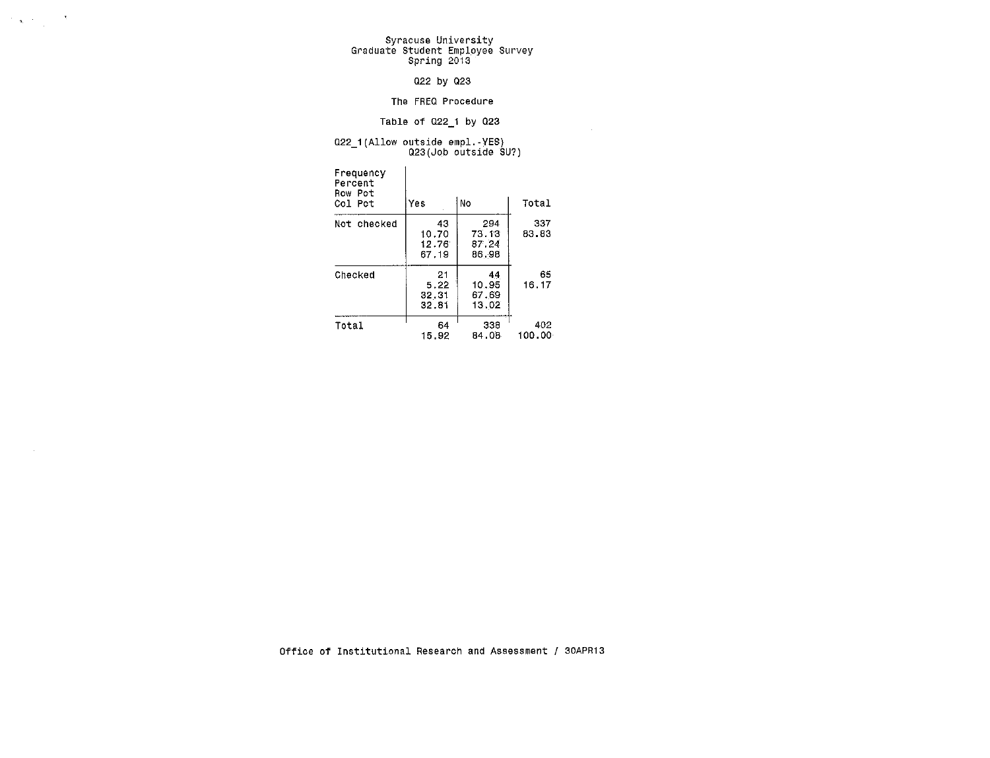$\label{eq:2} \mathcal{L}(\mathbf{x}) = \mathbf{y} + \mathcal{L}(\mathbf{x}) = \mathbf{y} + \mathbf{y}$ 

# Syracuse University<br>Graduate Student Employee Survey<br>Spring 2013

#### 022 by 023

#### The FREQ Procedure

#### Table of 022\_1 by 023

### 022\_1(Allow outside empl.-YES) Q23(Job outside SU?)

| Frequency<br>Percent<br>Row Pct<br>Col Pct | Yes                           | No                             | Total         |
|--------------------------------------------|-------------------------------|--------------------------------|---------------|
| Not checked                                | 43<br>10.70<br>12.76<br>67.19 | 294<br>73.13<br>87.24<br>86.98 | 337<br>83.83  |
| Checked                                    | 21<br>5.22<br>32.31<br>32.81  | 44<br>10.95<br>67.69<br>13.02  | 65<br>16.17   |
| Total                                      | 64<br>15.92                   | 338<br>84.08                   | 402<br>100.00 |

Office of Institutional Research and Assessment / 30APR13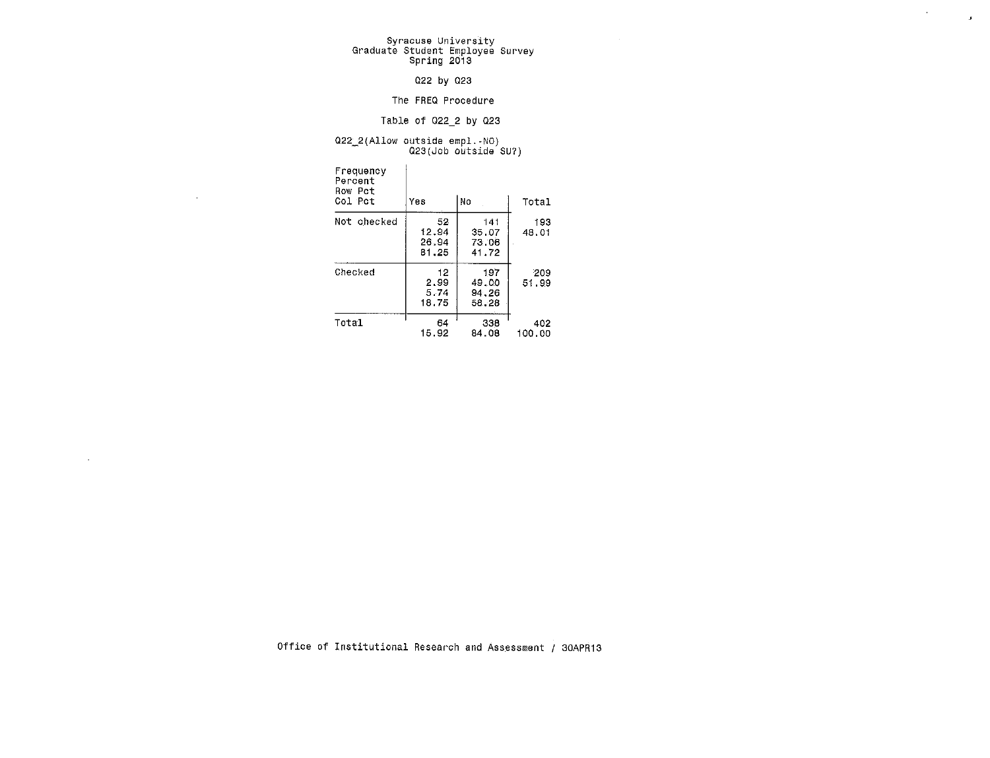# Syracuse University Graduate Student Employee Survey Spring 2013

 $\label{eq:2.1} \frac{1}{\sqrt{2}}\left(\frac{1}{\sqrt{2}}\right)^{2} \left(\frac{1}{\sqrt{2}}\right)^{2} \left(\frac{1}{\sqrt{2}}\right)^{2}$ 

#### 022 by 023

#### The FREQ Procedure

#### Table of 022\_2 by 023

### $Q22_2(A11ow outside emp1.-NO) \nQ23(Job outside SU?)$

 $\sim 10^{-1}$ 

 $\sim$ 

| Frequency<br>Percent<br>Row Pct<br>Col Pct | Yes                           | No                             | Total         |
|--------------------------------------------|-------------------------------|--------------------------------|---------------|
| Not checked                                | 52<br>12.94<br>26.94<br>81.25 | 141<br>35.07<br>73.06<br>41.72 | 193<br>48.01  |
| Checked                                    | 12<br>2.99<br>5.74<br>18.75   | 197<br>49.00<br>94.26<br>58.28 | 209<br>51.99  |
| Total                                      | 64<br>15.92                   | 338<br>84.08                   | 402<br>100.00 |

Office of Institutional Research and Assessment / 30APR13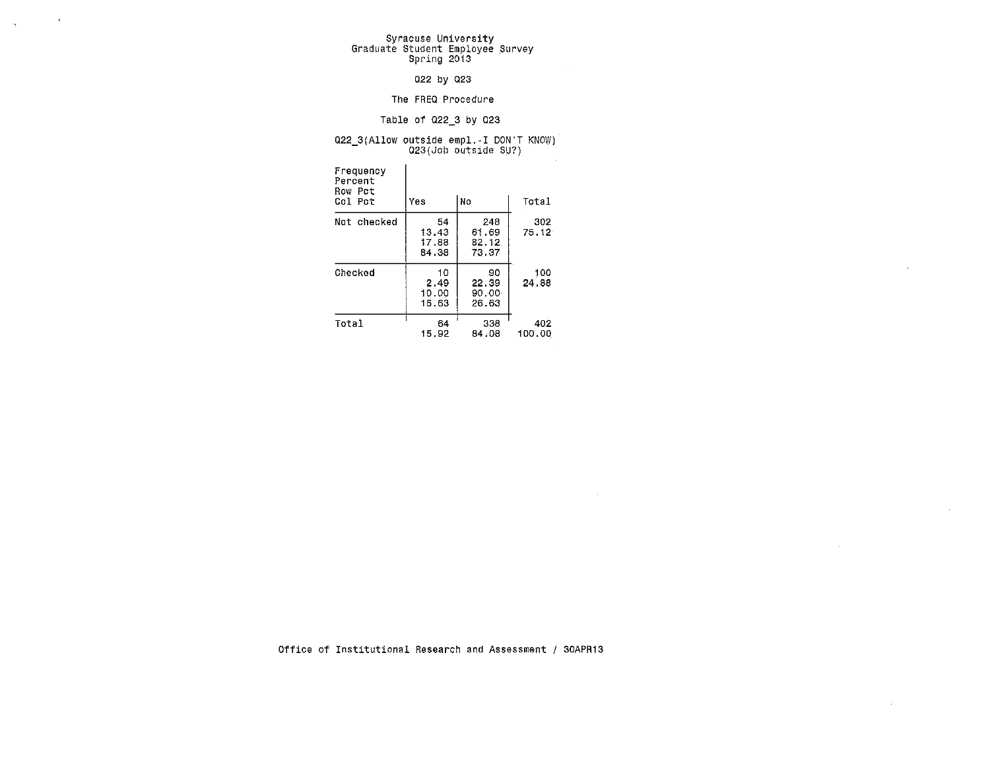# Syracuse University Graduate Student Employee Survey Spring 2013

 $\sim 8^\circ$ 

 $\mathcal{A}^{\pm}$ 

#### 022 by 023

#### The FREQ Procedure

#### Table of 022\_3 by 023

### 022\_3(Allow outside empl.-1 DON'T KNOW) Q23(Job outside SU?)

| Frequency<br>Percent<br>Row Pct<br>Col Pct | Yes                           | No                             | Total         |
|--------------------------------------------|-------------------------------|--------------------------------|---------------|
| Not checked                                | 54<br>13.43<br>17.88<br>84.38 | 243<br>61.69<br>82.12<br>73.37 | 302<br>75.12  |
| Checked                                    | 10<br>2.49<br>10.00<br>15.63  | .90<br>22.39<br>90.00<br>26.63 | 100<br>24.88  |
| Total                                      | 64<br>15.92                   | 338<br>84.08                   | 402<br>100.00 |

Office of Institutional Research and Assessment / 30APR13

 $\sim$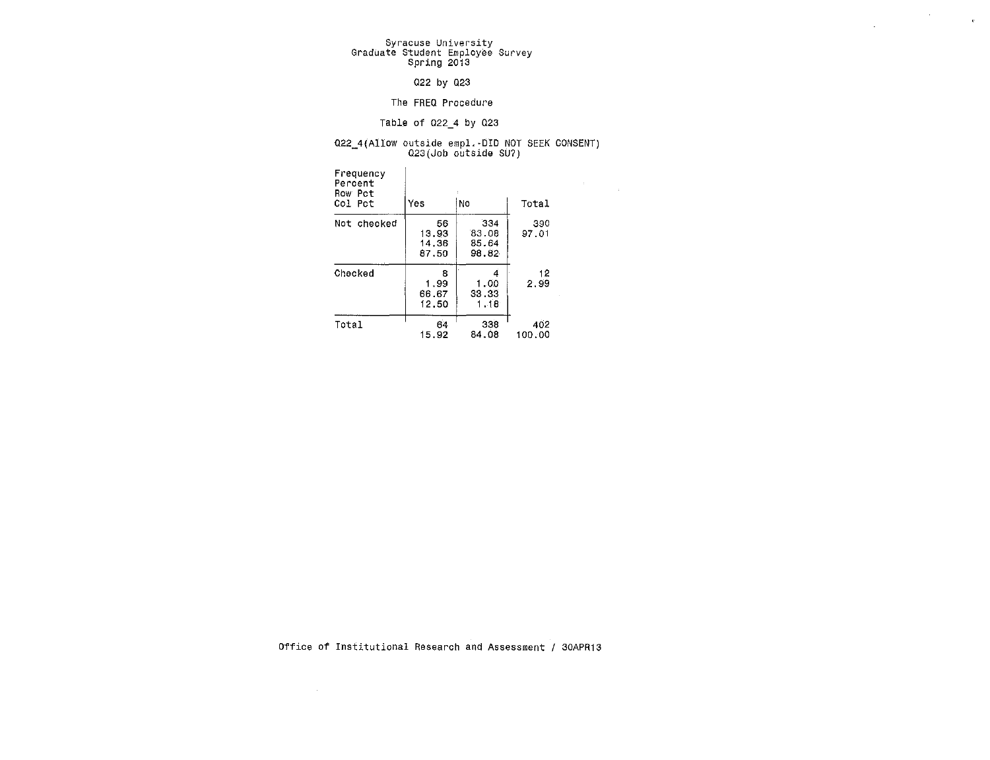# Syracuse University Graduate Student Employee Survey spring 2013

#### 022 by 023

#### The FREQ Procedure

#### Table of 022\_4 by 023

### 022\_4(Allow outside empl.-DID NOT SEEK CONSENT)<br>023(Job outside SU?)

 $\label{eq:2.1} \frac{1}{\sqrt{2\pi}}\int_{0}^{\infty}\frac{1}{\sqrt{2\pi}}\left(\frac{1}{\sqrt{2\pi}}\right)^{2\pi} \frac{1}{\sqrt{2\pi}}\frac{1}{\sqrt{2\pi}}\frac{1}{\sqrt{2\pi}}\frac{1}{\sqrt{2\pi}}\frac{1}{\sqrt{2\pi}}\frac{1}{\sqrt{2\pi}}\frac{1}{\sqrt{2\pi}}\frac{1}{\sqrt{2\pi}}\frac{1}{\sqrt{2\pi}}\frac{1}{\sqrt{2\pi}}\frac{1}{\sqrt{2\pi}}\frac{1}{\sqrt{2\pi}}\frac{1}{\sqrt{2\pi}}$ 

 $\sim 10^{-1}$  e  $^{-1}$ 

| Frequency<br>Percent<br>Row Pct<br>Col Pot | Yes                           | No                             | Total         | ÷. | × |
|--------------------------------------------|-------------------------------|--------------------------------|---------------|----|---|
| Not checked                                | 56<br>13.93<br>14.36<br>87.50 | 334<br>83.08<br>85.64<br>98.82 | 390<br>97.01  |    |   |
| Checked                                    | 8<br>1.99<br>66.67<br>12.50   | 4<br>1.00<br>33.33<br>1.18     | 12<br>2.99    |    |   |
| Total                                      | 64<br>15.92                   | 338<br>84.08                   | 402<br>100.00 |    |   |

Office of Institutional Research and Assessment / 30APR13

 $\sim 100$